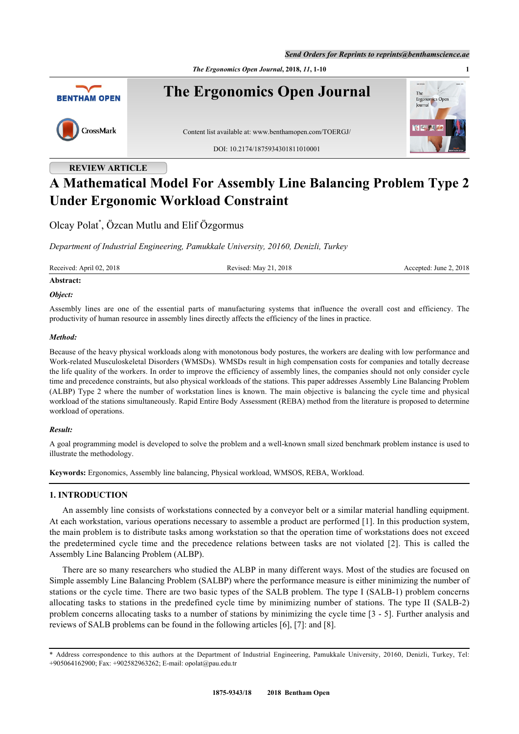*The Ergonomics Open Journal***, 2018,** *11***, 1-10 1**



# **REVIEW ARTICLE**

# **A Mathematical Model For Assembly Line Balancing Problem Type 2 Under Ergonomic Workload Constraint**

Olcay Polat[\\*](#page-0-0) , Özcan Mutlu and Elif Özgormus

*Department of Industrial Engineering, Pamukkale University, 20160, Denizli, Turkey*

Received: April 02, 2018 Revised: May 21, 2018 Revised: May 21, 2018 Accepted: June 2, 2018

# **Abstract:** *Object:*

Assembly lines are one of the essential parts of manufacturing systems that influence the overall cost and efficiency. The productivity of human resource in assembly lines directly affects the efficiency of the lines in practice.

# *Method:*

Because of the heavy physical workloads along with monotonous body postures, the workers are dealing with low performance and Work-related Musculoskeletal Disorders (WMSDs). WMSDs result in high compensation costs for companies and totally decrease the life quality of the workers. In order to improve the efficiency of assembly lines, the companies should not only consider cycle time and precedence constraints, but also physical workloads of the stations. This paper addresses Assembly Line Balancing Problem (ALBP) Type 2 where the number of workstation lines is known. The main objective is balancing the cycle time and physical workload of the stations simultaneously. Rapid Entire Body Assessment (REBA) method from the literature is proposed to determine workload of operations.

# *Result:*

A goal programming model is developed to solve the problem and a well-known small sized benchmark problem instance is used to illustrate the methodology.

**Keywords:** Ergonomics, Assembly line balancing, Physical workload, WMSOS, REBA, Workload.

# **1. INTRODUCTION**

An assembly line consists of workstations connected by a conveyor belt or a similar material handling equipment. At each workstation, various operations necessary to assemble a product are performed [[1\]](#page-7-0). In this production system, the main problem is to distribute tasks among workstation so that the operation time of workstations does not exceed the predetermined cycle time and the precedence relations between tasks are not violated [\[2\]](#page-7-1). This is called the Assembly Line Balancing Problem (ALBP).

There are so many researchers who studied the ALBP in many different ways. Most of the studies are focused on Simple assembly Line Balancing Problem (SALBP) where the performance measure is either minimizing the number of stations or the cycle time. There are two basic types of the SALB problem. The type I (SALB-1) problem concerns allocating tasks to stations in the predefined cycle time by minimizing number of stations. The type II (SALB-2) problem concerns allocating tasks to a number of stations by minimizing the cycle time [\[3](#page-7-2) - [5\]](#page-7-3). Further analysis and reviews of SALB problems can be found in the following articles [\[6](#page-7-4)], [[7\]](#page-7-5): and [[8\]](#page-7-6).

<span id="page-0-0"></span><sup>\*</sup> Address correspondence to this authors at the Department of Industrial Engineering, Pamukkale University, 20160, Denizli, Turkey, Tel: +905064162900; Fax: +902582963262; E-mail: [opolat@pau.edu.tr](mailto:opolat@pau.edu.tr)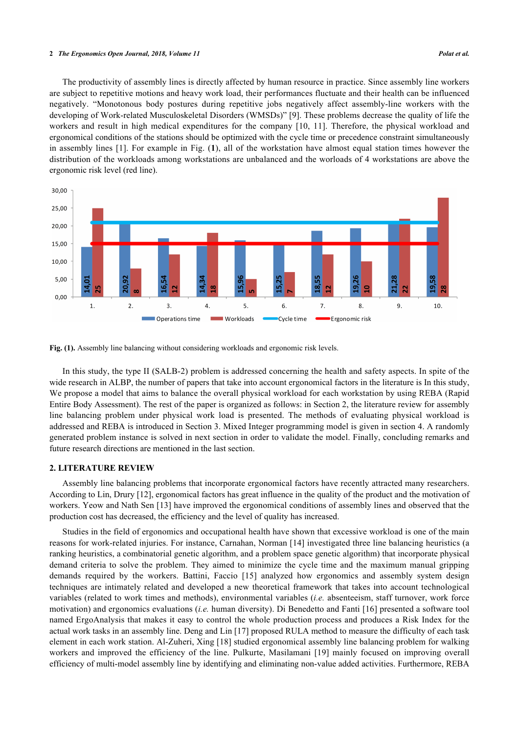#### **2** *The Ergonomics Open Journal, 2018, Volume 11 Polat et al.*

The productivity of assembly lines is directly affected by human resource in practice. Since assembly line workers are subject to repetitive motions and heavy work load, their performances fluctuate and their health can be influenced negatively. "Monotonous body postures during repetitive jobs negatively affect assembly-line workers with the developing of Work-related Musculoskeletal Disorders (WMSDs)" [\[9](#page-8-0)]. These problems decrease the quality of life the workers and result in high medical expenditures for the company[[10](#page-8-1), [11\]](#page-8-2). Therefore, the physical workload and ergonomical conditions of the stations should be optimized with the cycle time or precedence constraint simultaneously in assembly lines [\[1](#page-7-0)]. For example in Fig. (**[1](#page-1-0)**), all of the workstation have almost equal station times however the distribution of the workloads among workstations are unbalanced and the worloads of 4 workstations are above the ergonomic risk level (red line).

<span id="page-1-0"></span>

Fig. (1). Assembly line balancing without considering workloads and ergonomic risk levels.

In this study, the type II (SALB-2) problem is addressed concerning the health and safety aspects. In spite of the wide research in ALBP, the number of papers that take into account ergonomical factors in the literature is In this study, We propose a model that aims to balance the overall physical workload for each workstation by using REBA (Rapid Entire Body Assessment). The rest of the paper is organized as follows: in Section 2, the literature review for assembly line balancing problem under physical work load is presented. The methods of evaluating physical workload is addressed and REBA is introduced in Section 3. Mixed Integer programming model is given in section 4. A randomly generated problem instance is solved in next section in order to validate the model. Finally, concluding remarks and future research directions are mentioned in the last section.

# **2. LITERATURE REVIEW**

Assembly line balancing problems that incorporate ergonomical factors have recently attracted many researchers. According to Lin, Drury [\[12](#page-8-3)], ergonomical factors has great influence in the quality of the product and the motivation of workers. Yeow and Nath Sen [\[13](#page-8-4)] have improved the ergonomical conditions of assembly lines and observed that the production cost has decreased, the efficiency and the level of quality has increased.

Studies in the field of ergonomics and occupational health have shown that excessive workload is one of the main reasons for work-related injuries. For instance, Carnahan, Norman [[14](#page-8-5)] investigated three line balancing heuristics (a ranking heuristics, a combinatorial genetic algorithm, and a problem space genetic algorithm) that incorporate physical demand criteria to solve the problem. They aimed to minimize the cycle time and the maximum manual gripping demands required by the workers. Battini, Faccio[[15](#page-8-6)] analyzed how ergonomics and assembly system design techniques are intimately related and developed a new theoretical framework that takes into account technological variables (related to work times and methods), environmental variables (*i.e.* absenteeism, staff turnover, work force motivation) and ergonomics evaluations (*i.e.* human diversity). Di Benedetto and Fanti [\[16\]](#page-8-7) presented a software tool named ErgoAnalysis that makes it easy to control the whole production process and produces a Risk Index for the actual work tasks in an assembly line. Deng and Lin [\[17](#page-8-8)] proposed RULA method to measure the difficulty of each task element in each work station. Al-Zuheri, Xing [[18](#page-8-9)] studied ergonomical assembly line balancing problem for walking workers and improved the efficiency of the line. Pulkurte, Masilamani[[19](#page-8-10)] mainly focused on improving overall efficiency of multi-model assembly line by identifying and eliminating non-value added activities. Furthermore, REBA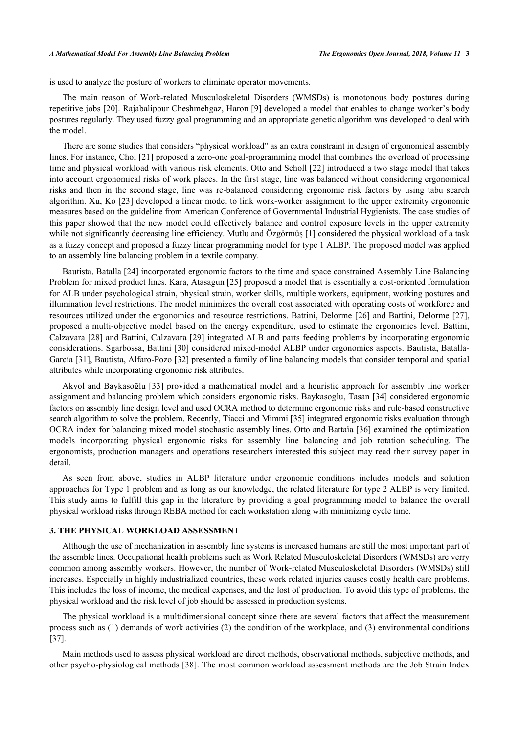is used to analyze the posture of workers to eliminate operator movements.

The main reason of Work-related Musculoskeletal Disorders (WMSDs) is monotonous body postures during repetitive jobs [[20](#page-8-11)]. Rajabalipour Cheshmehgaz, Haron [[9\]](#page-8-0) developed a model that enables to change worker's body postures regularly. They used fuzzy goal programming and an appropriate genetic algorithm was developed to deal with the model.

There are some studies that considers "physical workload" as an extra constraint in design of ergonomical assembly lines. For instance, Choi [[21\]](#page-8-12) proposed a zero-one goal-programming model that combines the overload of processing time and physical workload with various risk elements. Otto and Scholl [[22\]](#page-8-13) introduced a two stage model that takes into account ergonomical risks of work places. In the first stage, line was balanced without considering ergonomical risks and then in the second stage, line was re-balanced considering ergonomic risk factors by using tabu search algorithm. Xu, Ko [\[23](#page-8-14)] developed a linear model to link work-worker assignment to the upper extremity ergonomic measures based on the guideline from American Conference of Governmental Industrial Hygienists. The case studies of this paper showed that the new model could effectively balance and control exposure levels in the upper extremity while not significantly decreasing line efficiency. Mutlu and Özgörmüş [[1\]](#page-7-0) considered the physical workload of a task as a fuzzy concept and proposed a fuzzy linear programming model for type 1 ALBP. The proposed model was applied to an assembly line balancing problem in a textile company.

Bautista, Batalla [[24\]](#page-8-15) incorporated ergonomic factors to the time and space constrained Assembly Line Balancing Problem for mixed product lines. Kara, Atasagun [[25\]](#page-8-16) proposed a model that is essentially a cost-oriented formulation for ALB under psychological strain, physical strain, worker skills, multiple workers, equipment, working postures and illumination level restrictions. The model minimizes the overall cost associated with operating costs of workforce and resources utilized under the ergonomics and resource restrictions. Battini, Delorme [[26](#page-8-17)] and Battini, Delorme [\[27\]](#page-8-18), proposed a multi-objective model based on the energy expenditure, used to estimate the ergonomics level. Battini, Calzavara [\[28\]](#page-8-19) and Battini, Calzavara [[29](#page-8-20)] integrated ALB and parts feeding problems by incorporating ergonomic considerations. Sgarbossa, Battini [\[30\]](#page-8-21) considered mixed-model ALBP under ergonomics aspects. Bautista, Batalla-García [[31\]](#page-9-0), Bautista, Alfaro-Pozo [\[32](#page-9-1)] presented a family of line balancing models that consider temporal and spatial attributes while incorporating ergonomic risk attributes.

Akyol and Baykasoğlu [\[33\]](#page-9-2) provided a mathematical model and a heuristic approach for assembly line worker assignment and balancing problem which considers ergonomic risks. Baykasoglu, Tasan [[34\]](#page-9-3) considered ergonomic factors on assembly line design level and used OCRA method to determine ergonomic risks and rule-based constructive search algorithm to solve the problem. Recently, Tiacci and Mimmi [[35\]](#page-9-4) integrated ergonomic risks evaluation through OCRA index for balancing mixed model stochastic assembly lines. Otto and Battaïa [[36](#page-9-5)] examined the optimization models incorporating physical ergonomic risks for assembly line balancing and job rotation scheduling. The ergonomists, production managers and operations researchers interested this subject may read their survey paper in detail.

As seen from above, studies in ALBP literature under ergonomic conditions includes models and solution approaches for Type 1 problem and as long as our knowledge, the related literature for type 2 ALBP is very limited. This study aims to fulfill this gap in the literature by providing a goal programming model to balance the overall physical workload risks through REBA method for each workstation along with minimizing cycle time.

#### **3. THE PHYSICAL WORKLOAD ASSESSMENT**

Although the use of mechanization in assembly line systems is increased humans are still the most important part of the assemble lines. Occupational health problems such as Work Related Musculoskeletal Disorders (WMSDs) are verry common among assembly workers. However, the number of Work-related Musculoskeletal Disorders (WMSDs) still increases. Especially in highly industrialized countries, these work related injuries causes costly health care problems. This includes the loss of income, the medical expenses, and the lost of production. To avoid this type of problems, the physical workload and the risk level of job should be assessed in production systems.

The physical workload is a multidimensional concept since there are several factors that affect the measurement process such as (1) demands of work activities (2) the condition of the workplace, and (3) environmental conditions [\[37](#page-9-6)].

Main methods used to assess physical workload are direct methods, observational methods, subjective methods, and other psycho-physiological methods [\[38\]](#page-9-7). The most common workload assessment methods are the Job Strain Index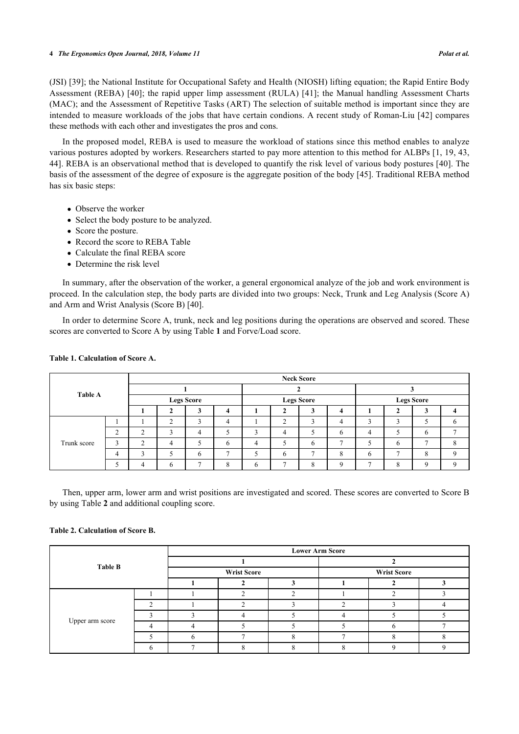#### **4** *The Ergonomics Open Journal, 2018, Volume 11 Polat et al.*

(JSI) [[39\]](#page-9-8); the National Institute for Occupational Safety and Health (NIOSH) lifting equation; the Rapid Entire Body Assessment (REBA) [\[40\]](#page-9-9); the rapid upper limp assessment (RULA) [[41](#page-9-10)]; the Manual handling Assessment Charts (MAC); and the Assessment of Repetitive Tasks (ART) The selection of suitable method is important since they are intended to measure workloads of the jobs that have certain condions. A recent study of Roman-Liu [[42\]](#page-9-11) compares these methods with each other and investigates the pros and cons.

In the proposed model, REBA is used to measure the workload of stations since this method enables to analyze various postures adopted by workers. Researchers started to pay more attention to this method for ALBPs [[1,](#page-7-0) [19](#page-8-10), [43](#page-9-12), [44\]](#page-9-13). REBA is an observational method that is developed to quantify the risk level of various body postures [[40\]](#page-9-9). The basis of the assessment of the degree of exposure is the aggregate position of the body [[45\]](#page-9-14). Traditional REBA method has six basic steps:

- Observe the worker
- Select the body posture to be analyzed.
- Score the posture.
- Record the score to REBA Table
- Calculate the final REBA score
- Determine the risk level

In summary, after the observation of the worker, a general ergonomical analyze of the job and work environment is proceed. In the calculation step, the body parts are divided into two groups: Neck, Trunk and Leg Analysis (Score A) and Arm and Wrist Analysis (Score B) [\[40](#page-9-9)].

In order to determine Score A, trunk, neck and leg positions during the operations are observed and scored. These scores are converted to Score A by using Table **[1](#page-3-0)** and Forve/Load score.

| <b>Table A</b> |        | <b>Neck Score</b> |                   |                 |                   |   |        |          |                   |        |              |               |  |
|----------------|--------|-------------------|-------------------|-----------------|-------------------|---|--------|----------|-------------------|--------|--------------|---------------|--|
|                |        |                   |                   |                 |                   |   |        |          |                   |        |              |               |  |
|                |        |                   | <b>Legs Score</b> |                 | <b>Legs Score</b> |   |        |          | <b>Legs Score</b> |        |              |               |  |
|                |        |                   |                   | <b>CONTRACT</b> | 4                 |   |        |          | 4                 |        |              |               |  |
|                |        |                   | $\sim$            | $\sim$          | 4                 |   | $\sim$ | ◠        | 4                 | $\sim$ |              |               |  |
|                | $\sim$ | $\Omega$          |                   | 4               |                   |   | 4      |          | 6                 | 4      |              | 6             |  |
| Trunk score    | 3      | $\mathbf \Omega$  | 4                 |                 | 6                 | Δ |        | 6        |                   |        | O            |               |  |
|                | 4      | $\sim$            |                   | h               |                   |   | 6      | −        | Ω<br>Λ            | h      | $\mathbf{r}$ | $\Omega$<br>◠ |  |
|                |        | 4                 | 6                 | $\overline{ }$  |                   | h |        | $\Omega$ | Q                 | -      | $\circ$<br>◠ | $\Omega$      |  |

# <span id="page-3-0"></span>**Table 1. Calculation of Score A.**

Then, upper arm, lower arm and wrist positions are investigated and scored. These scores are converted to Score B by using Table **[2](#page-3-1)** and additional coupling score.

# <span id="page-3-1"></span>**Table 2. Calculation of Score B.**

|                 | <b>Lower Arm Score</b> |                    |  |                    |  |  |  |  |  |
|-----------------|------------------------|--------------------|--|--------------------|--|--|--|--|--|
| <b>Table B</b>  |                        |                    |  |                    |  |  |  |  |  |
|                 |                        | <b>Wrist Score</b> |  | <b>Wrist Score</b> |  |  |  |  |  |
|                 |                        |                    |  |                    |  |  |  |  |  |
|                 |                        |                    |  |                    |  |  |  |  |  |
|                 | ◠                      |                    |  |                    |  |  |  |  |  |
|                 |                        |                    |  |                    |  |  |  |  |  |
| Upper arm score |                        |                    |  |                    |  |  |  |  |  |
|                 |                        |                    |  |                    |  |  |  |  |  |
|                 |                        |                    |  |                    |  |  |  |  |  |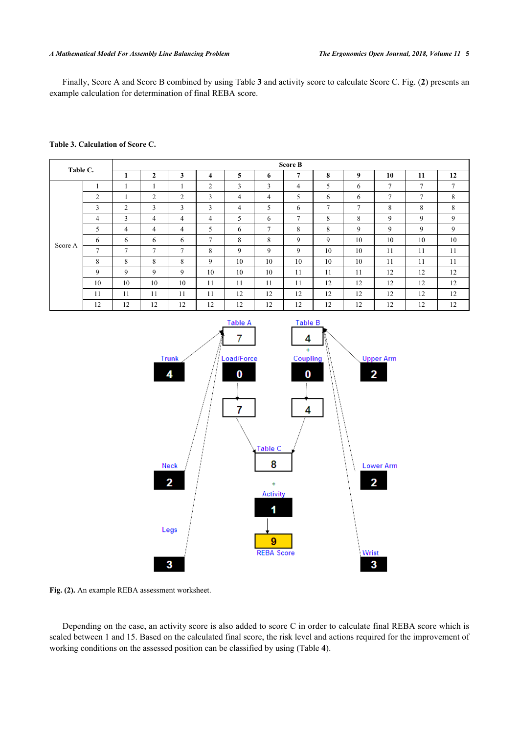#### *A Mathematical Model For Assembly Line Balancing Problem The Ergonomics Open Journal, 2018, Volume 11* **5**

Finally, Score A and Score B combined by using Table **[3](#page-4-0)** and activity score to calculate Score C. Fig. (**[2](#page-4-1)**) presents an example calculation for determination of final REBA score.

#### <span id="page-4-0"></span>**Table 3. Calculation of Score C.**

| Table C. |                | <b>Score B</b> |                |                |                |                |    |        |                |        |               |               |    |  |
|----------|----------------|----------------|----------------|----------------|----------------|----------------|----|--------|----------------|--------|---------------|---------------|----|--|
|          |                |                | $\overline{2}$ | 3              | 4              | 5              | 6  | 7      | 8              | 9      | 10            | 11            | 12 |  |
|          |                |                |                |                | 2              | 3              | 3  | 4      | 5              | 6      | 7             | $\mathcal{I}$ | 7  |  |
|          | 2              |                | $\overline{2}$ | $\overline{2}$ | 3              | $\overline{4}$ | 4  | 5      | 6              | 6      | $\mathcal{I}$ | $\mathcal{I}$ | 8  |  |
|          | 3              | $\overline{2}$ | 3              | 3              | 3              | 4              | 5  | 6      | $\overline{7}$ | $\tau$ | 8             | 8             | 8  |  |
|          | 4              | 3              | 4              | 4              | $\overline{4}$ | 5              | 6  | $\tau$ | 8              | 8      | 9             | 9             | 9  |  |
|          | 5              | 4              | 4              | 4              | 5              | 6              | 7  | 8      | 8              | 9      | 9             | 9             | 9  |  |
|          | 6              | 6              | 6              | 6              | $\overline{ }$ | 8              | 8  | 9      | 9              | 10     | 10            | 10            | 10 |  |
| Score A  | $\overline{7}$ | $\overline{7}$ | $\mathcal{I}$  | $\mathcal{I}$  | 8              | 9              | 9  | 9      | 10             | 10     | 11            | 11            | 11 |  |
|          | 8              | 8              | 8              | 8              | 9              | 10             | 10 | 10     | 10             | 10     | 11            | 11            | 11 |  |
|          | 9              | 9              | 9              | 9              | 10             | 10             | 10 | 11     | 11             | 11     | 12            | 12            | 12 |  |
|          | 10             | 10             | 10             | 10             | 11             | 11             | 11 | 11     | 12             | 12     | 12            | 12            | 12 |  |
|          | 11             | 11             | 11             | 11             | 11             | 12             | 12 | 12     | 12             | 12     | 12            | 12            | 12 |  |
|          | 12             | 12             | 12             | 12             | 12             | 12             | 12 | 12     | 12             | 12     | 12            | 12            | 12 |  |

<span id="page-4-1"></span>

**Fig. (2).** An example REBA assessment worksheet.

Depending on the case, an activity score is also added to score C in order to calculate final REBA score which is scaled between 1 and 15. Based on the calculated final score, the risk level and actions required for the improvement of working conditions on the assessed position can be classified by using (Table **[4](#page-5-0)**).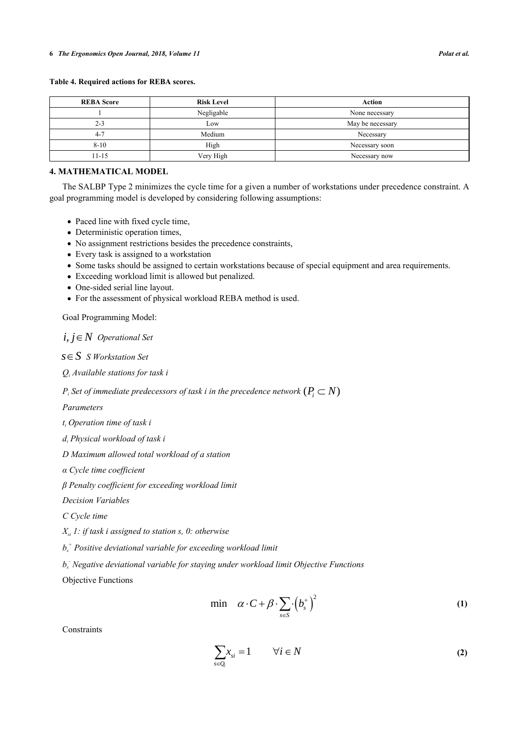| <b>REBA Score</b> | <b>Risk Level</b> | Action           |
|-------------------|-------------------|------------------|
|                   | Negligable        | None necessary   |
| $2 - 3$           | Low               | May be necessary |
| $4 - 7$           | Medium            | Necessary        |
| $8 - 10$          | High              | Necessary soon   |
| $11 - 15$         | Very High         | Necessary now    |

# <span id="page-5-0"></span>**Table 4. Required actions for REBA scores.**

# **4. MATHEMATICAL MODEL**

The SALBP Type 2 minimizes the cycle time for a given a number of workstations under precedence constraint. A goal programming model is developed by considering following assumptions:

- Paced line with fixed cycle time,
- Deterministic operation times,
- No assignment restrictions besides the precedence constraints,
- Every task is assigned to a workstation
- Some tasks should be assigned to certain workstations because of special equipment and area requirements.
- Exceeding workload limit is allowed but penalized.
- One-sided serial line layout.
- For the assessment of physical workload REBA method is used.

Goal Programming Model:

 $i, j \in N$  Operational Set

 *S Workstation Set s S*

*Qi Available stations for task i*

 $P_i$  Set of immediate predecessors of task i in the precedence network  $(P_i \subset N)$ 

*Parameters*

*ti Operation time of task i*

*di Physical workload of task i*

*D Maximum allowed total workload of a station*

*α Cycle time coefficient*

*β Penalty coefficient for exceeding workload limit*

*Decision Variables*

*C Cycle time*

*Xsi 1: if task i assigned to station s, 0: otherwise*

*bs + Positive deviational variable for exceeding workload limit*

*bs - Negative deviational variable for staying under workload limit Objective Functions*

Objective Functions

$$
\min \quad \alpha \cdot C + \beta \cdot \sum_{s \in S} \cdot \left(b_s^+\right)^2 \tag{1}
$$

**Constraints** 

$$
\sum_{s \in Q_i} x_{si} = 1 \qquad \forall i \in N
$$
 (2)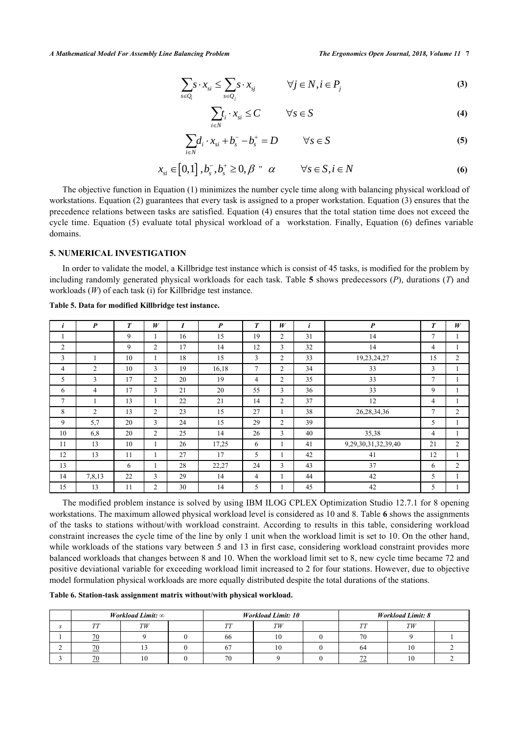$$
\sum_{s \in Q_i} s \cdot x_{si} \le \sum_{s \in Q_j} s \cdot x_{sj} \qquad \forall j \in N, i \in P_j \tag{3}
$$

$$
\sum_{i \in N} t_i \cdot x_{si} \le C \qquad \forall s \in S \tag{4}
$$

$$
\sum_{i\in N} d_i \cdot x_{si} + b_s^- - b_s^+ = D \qquad \forall s \in S
$$
 (5)

$$
x_{si} \in [0,1], b_s^-, b_s^+ \ge 0, \beta \land \alpha \qquad \forall s \in S, i \in N
$$
 (6)

The objective function in Equation (1) minimizes the number cycle time along with balancing physical workload of workstations. Equation (2) guarantees that every task is assigned to a proper workstation. Equation (3) ensures that the precedence relations between tasks are satisfied. Equation (4) ensures that the total station time does not exceed the cycle time. Equation (5) evaluate total physical workload of a workstation. Finally, Equation (6) defines variable domains.

# **5. NUMERICAL INVESTIGATION**

In order to validate the model, a Killbridge test instance which is consist of 45 tasks, is modified for the problem by including randomly generated physical workloads for each task. Table **[5](#page-6-0)** shows predecessors (*P*), durations (*T*) and workloads (*W*) of each task (i) for Killbridge test instance.

|                | $\boldsymbol{P}$ | $\boldsymbol{T}$ | W              |    | $\boldsymbol{P}$ | $\boldsymbol{T}$ | W              | $\mathbf{i}$ | $\boldsymbol{P}$    | $\boldsymbol{T}$ | W              |
|----------------|------------------|------------------|----------------|----|------------------|------------------|----------------|--------------|---------------------|------------------|----------------|
|                |                  | 9                |                | 16 | 15               | 19               | $\overline{2}$ | 31           | 14                  | 7                |                |
| $\overline{2}$ |                  | 9                | $\overline{c}$ | 17 | 14               | 12               | 3              | 32           | 14                  | 4                |                |
| 3              |                  | 10               |                | 18 | 15               | 3                | $\overline{2}$ | 33           | 19,23,24,27         | 15               | $\overline{2}$ |
| 4              | $\overline{c}$   | 10               | 3              | 19 | 16,18            | 7                | $\overline{2}$ | 34           | 33                  | 3                |                |
| 5              | 3                | 17               | $\overline{c}$ | 20 | 19               | 4                | 2              | 35           | 33                  | $\tau$           |                |
| 6              | 4                | 17               | 3              | 21 | 20               | 55               | 3              | 36           | 33                  | 9                |                |
| $\overline{7}$ | ш                | 13               |                | 22 | 21               | 14               | $\overline{c}$ | 37           | 12                  | 4                |                |
| 8              | $\overline{2}$   | 13               | $\overline{2}$ | 23 | 15               | 27               | 1              | 38           | 26, 28, 34, 36      | $\overline{7}$   | 2              |
| 9              | 5,7              | 20               | 3              | 24 | 15               | 29               | $\overline{2}$ | 39           |                     | 5                |                |
| 10             | 6,8              | 20               | $\overline{c}$ | 25 | 14               | 26               | 3              | 40           | 35,38               | 4                |                |
| 11             | 13               | 10               |                | 26 | 17,25            | 6                | 1              | 41           | 9,29,30,31,32,39,40 | 21               | $\overline{2}$ |
| 12             | 13               | 11               |                | 27 | 17               | 5                |                | 42           | 41                  | 12               |                |
| 13             |                  | 6                |                | 28 | 22,27            | 24               | 3              | 43           | 37                  | 6                | 2              |
| 14             | 7,8,13           | 22               | 3              | 29 | 14               | 4                |                | 44           | 42                  | 5                |                |
| 15             | 13               | 11               | $\overline{2}$ | 30 | 14               | 5                |                | 45           | 42                  | 5                |                |

<span id="page-6-0"></span>**Table 5. Data for modified Killbridge test instance.**

The modified problem instance is solved by using IBM ILOG CPLEX Optimization Studio 12.7.1 for 8 opening workstations. The maximum allowed physical workload level is considered as 10 and 8. Table **[6](#page-6-1)** shows the assignments of the tasks to stations without/with workload constraint. According to results in this table, considering workload constraint increases the cycle time of the line by only 1 unit when the workload limit is set to 10. On the other hand, while workloads of the stations vary between 5 and 13 in first case, considering workload constraint provides more balanced workloads that changes between 8 and 10. When the workload limit set to 8, new cycle time became 72 and positive deviational variable for exceeding workload limit increased to 2 for four stations. However, due to objective model formulation physical workloads are more equally distributed despite the total durations of the stations.

# <span id="page-6-1"></span>**Table 6. Station-task assignment matrix without/with physical workload.**

|      | <i>Workload Limit:</i> $\infty$ |      | <b>Workload Limit: 10</b> | <b>Workload Limit: 8</b> |            |  |  |
|------|---------------------------------|------|---------------------------|--------------------------|------------|--|--|
| TTTT | TW                              | TTTT | TW                        | TTTT                     | TW         |  |  |
| 70   |                                 | 66   |                           | 70                       |            |  |  |
| 70   |                                 |      |                           | 64                       | $\sim$     |  |  |
| 70   | 10                              | 70   |                           |                          | $1 \Omega$ |  |  |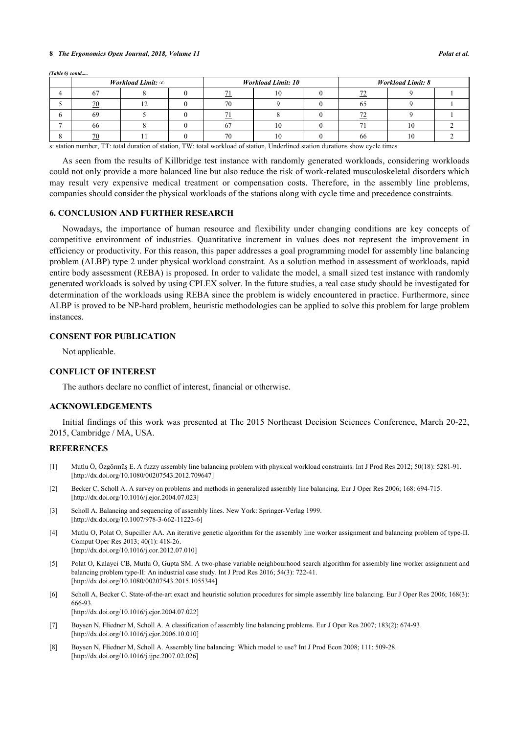#### **8** *The Ergonomics Open Journal, 2018, Volume 11 Polat et al.*

| (Table 6) contd |    |                                 |    |                           |                          |    |  |  |
|-----------------|----|---------------------------------|----|---------------------------|--------------------------|----|--|--|
|                 |    | <i>Workload Limit:</i> $\infty$ |    | <b>Workload Limit: 10</b> | <b>Workload Limit: 8</b> |    |  |  |
|                 |    |                                 |    | 1 V                       |                          |    |  |  |
|                 | 70 |                                 | 70 |                           |                          |    |  |  |
|                 | 69 |                                 |    |                           |                          |    |  |  |
|                 | 66 |                                 |    | 10                        |                          | 10 |  |  |
|                 | 70 |                                 | 70 |                           | 66                       | 10 |  |  |

s: station number, TT: total duration of station, TW: total workload of station, Underlined station durations show cycle times

As seen from the results of Killbridge test instance with randomly generated workloads, considering workloads could not only provide a more balanced line but also reduce the risk of work-related musculoskeletal disorders which may result very expensive medical treatment or compensation costs. Therefore, in the assembly line problems, companies should consider the physical workloads of the stations along with cycle time and precedence constraints.

#### **6. CONCLUSION AND FURTHER RESEARCH**

Nowadays, the importance of human resource and flexibility under changing conditions are key concepts of competitive environment of industries. Quantitative increment in values does not represent the improvement in efficiency or productivity. For this reason, this paper addresses a goal programming model for assembly line balancing problem (ALBP) type 2 under physical workload constraint. As a solution method in assessment of workloads, rapid entire body assessment (REBA) is proposed. In order to validate the model, a small sized test instance with randomly generated workloads is solved by using CPLEX solver. In the future studies, a real case study should be investigated for determination of the workloads using REBA since the problem is widely encountered in practice. Furthermore, since ALBP is proved to be NP-hard problem, heuristic methodologies can be applied to solve this problem for large problem instances.

# **CONSENT FOR PUBLICATION**

Not applicable.

# **CONFLICT OF INTEREST**

The authors declare no conflict of interest, financial or otherwise.

# **ACKNOWLEDGEMENTS**

Initial findings of this work was presented at The 2015 Northeast Decision Sciences Conference, March 20-22, 2015, Cambridge / MA, USA.

# **REFERENCES**

- <span id="page-7-0"></span>[1] Mutlu Ö, Özgörmüş E. A fuzzy assembly line balancing problem with physical workload constraints. Int J Prod Res 2012; 50(18): 5281-91. [\[http://dx.doi.org/10.1080/00207543.2012.709647\]](http://dx.doi.org/10.1080/00207543.2012.709647)
- <span id="page-7-1"></span>[2] Becker C, Scholl A. A survey on problems and methods in generalized assembly line balancing. Eur J Oper Res 2006; 168: 694-715. [\[http://dx.doi.org/10.1016/j.ejor.2004.07.023](http://dx.doi.org/10.1016/j.ejor.2004.07.023)]
- <span id="page-7-2"></span>[3] Scholl A. Balancing and sequencing of assembly lines. New York: Springer-Verlag 1999. [\[http://dx.doi.org/10.1007/978-3-662-11223-6](http://dx.doi.org/10.1007/978-3-662-11223-6)]
- [4] Mutlu O, Polat O, Supciller AA. An iterative genetic algorithm for the assembly line worker assignment and balancing problem of type-II. Comput Oper Res 2013; 40(1): 418-26. [\[http://dx.doi.org/10.1016/j.cor.2012.07.010](http://dx.doi.org/10.1016/j.cor.2012.07.010)]
- <span id="page-7-3"></span>[5] Polat O, Kalayci CB, Mutlu Ö, Gupta SM. A two-phase variable neighbourhood search algorithm for assembly line worker assignment and balancing problem type-II: An industrial case study. Int J Prod Res 2016; 54(3): 722-41. [\[http://dx.doi.org/10.1080/00207543.2015.1055344\]](http://dx.doi.org/10.1080/00207543.2015.1055344)
- <span id="page-7-4"></span>[6] Scholl A, Becker C. State-of-the-art exact and heuristic solution procedures for simple assembly line balancing. Eur J Oper Res 2006; 168(3): 666-93.

[\[http://dx.doi.org/10.1016/j.ejor.2004.07.022](http://dx.doi.org/10.1016/j.ejor.2004.07.022)]

- <span id="page-7-5"></span>[7] Boysen N, Fliedner M, Scholl A. A classification of assembly line balancing problems. Eur J Oper Res 2007; 183(2): 674-93. [\[http://dx.doi.org/10.1016/j.ejor.2006.10.010](http://dx.doi.org/10.1016/j.ejor.2006.10.010)]
- <span id="page-7-6"></span>[8] Boysen N, Fliedner M, Scholl A. Assembly line balancing: Which model to use? Int J Prod Econ 2008; 111: 509-28. [\[http://dx.doi.org/10.1016/j.ijpe.2007.02.026](http://dx.doi.org/10.1016/j.ijpe.2007.02.026)]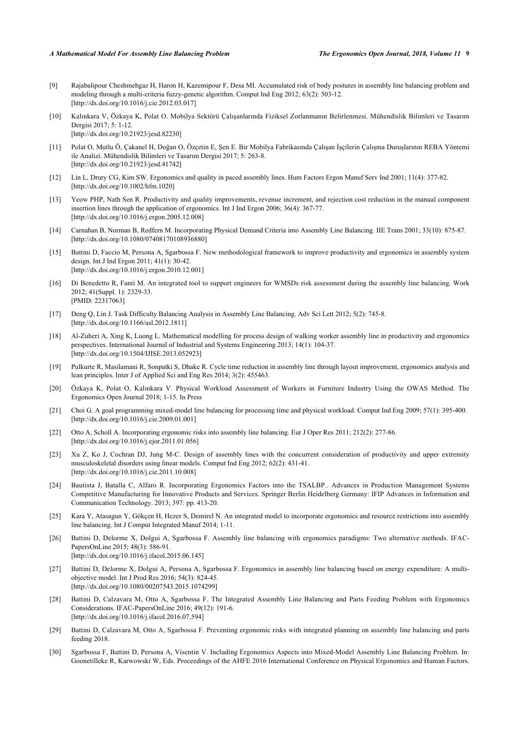- <span id="page-8-0"></span>[9] Rajabalipour Cheshmehgaz H, Haron H, Kazemipour F, Desa MI. Accumulated risk of body postures in assembly line balancing problem and modeling through a multi-criteria fuzzy-genetic algorithm. Comput Ind Eng 2012; 63(2): 503-12. [\[http://dx.doi.org/10.1016/j.cie.2012.03.017](http://dx.doi.org/10.1016/j.cie.2012.03.017)]
- <span id="page-8-1"></span>[10] Kalınkara V, Özkaya K, Polat O. Mobilya Sektörü Çalışanlarında Fiziksel Zorlanmanın Belirlenmesi. Mühendislik Bilimleri ve Tasarım Dergisi 2017; 5: 1-12. [\[http://dx.doi.org/10.21923/jesd.82230\]](http://dx.doi.org/10.21923/jesd.82230)
- <span id="page-8-2"></span>[11] Polat O, Mutlu Ö, Çakanel H, Doğan O, Özçetin E, Şen E. Bir Mobilya Fabrikasında Çalışan İşçilerin Çalışma Duruşlarının REBA Yöntemi ile Analizi. Mühendislik Bilimleri ve Tasarım Dergisi 2017; 5: 263-8. [\[http://dx.doi.org/10.21923/jesd.41742\]](http://dx.doi.org/10.21923/jesd.41742)
- <span id="page-8-3"></span>[12] Lin L, Drury CG, Kim SW. Ergonomics and quality in paced assembly lines. Hum Factors Ergon Manuf Serv Ind 2001; 11(4): 377-82. [\[http://dx.doi.org/10.1002/hfm.1020\]](http://dx.doi.org/10.1002/hfm.1020)
- <span id="page-8-4"></span>[13] Yeow PHP, Nath Sen R. Productivity and quality improvements, revenue increment, and rejection cost reduction in the manual component insertion lines through the application of ergonomics. Int J Ind Ergon 2006; 36(4): 367-77. [\[http://dx.doi.org/10.1016/j.ergon.2005.12.008](http://dx.doi.org/10.1016/j.ergon.2005.12.008)]
- <span id="page-8-5"></span>[14] Carnahan B, Norman B, Redfern M. Incorporating Physical Demand Criteria into Assembly Line Balancing. IIE Trans 2001; 33(10): 875-87. [\[http://dx.doi.org/10.1080/07408170108936880\]](http://dx.doi.org/10.1080/07408170108936880)
- <span id="page-8-6"></span>[15] Battini D, Faccio M, Persona A, Sgarbossa F. New methodological framework to improve productivity and ergonomics in assembly system design. Int J Ind Ergon 2011; 41(1): 30-42. [\[http://dx.doi.org/10.1016/j.ergon.2010.12.001](http://dx.doi.org/10.1016/j.ergon.2010.12.001)]
- <span id="page-8-7"></span>[16] Di Benedetto R, Fanti M. An integrated tool to support engineers for WMSDs risk assessment during the assembly line balancing. Work 2012; 41(Suppl. 1): 2329-33. [PMID: [22317063\]](http://www.ncbi.nlm.nih.gov/pubmed/22317063)
- <span id="page-8-8"></span>[17] Deng Q, Lin J. Task Difficulty Balancing Analysis in Assembly Line Balancing. Adv Sci Lett 2012; 5(2): 745-8. [\[http://dx.doi.org/10.1166/asl.2012.1811\]](http://dx.doi.org/10.1166/asl.2012.1811)
- <span id="page-8-9"></span>[18] Al-Zuheri A, Xing K, Luong L. Mathematical modelling for process design of walking worker assembly line in productivity and ergonomics perspectives. International Journal of Industrial and Systems Engineering 2013; 14(1): 104-37. [\[http://dx.doi.org/10.1504/IJISE.2013.052923\]](http://dx.doi.org/10.1504/IJISE.2013.052923)
- <span id="page-8-10"></span>[19] Pulkurte R, Masilamani R, Sonpatki S, Dhake R. Cycle time reduction in assembly line through layout improvement, ergonomics analysis and lean principles. Inter J of Applied Sci and Eng Res 2014; 3(2): 455463.
- <span id="page-8-11"></span>[20] Özkaya K, Polat O, Kalınkara V. Physical Workload Assessment of Workers in Furniture Industry Using the OWAS Method. The Ergonomics Open Journal 2018; 1-15. In Press
- <span id="page-8-12"></span>[21] Choi G. A goal programming mixed-model line balancing for processing time and physical workload. Comput Ind Eng 2009; 57(1): 395-400. [\[http://dx.doi.org/10.1016/j.cie.2009.01.001](http://dx.doi.org/10.1016/j.cie.2009.01.001)]
- <span id="page-8-13"></span>[22] Otto A, Scholl A. Incorporating ergonomic risks into assembly line balancing. Eur J Oper Res 2011; 212(2): 277-86. [\[http://dx.doi.org/10.1016/j.ejor.2011.01.056](http://dx.doi.org/10.1016/j.ejor.2011.01.056)]
- <span id="page-8-14"></span>[23] Xu Z, Ko J, Cochran DJ, Jung M-C. Design of assembly lines with the concurrent consideration of productivity and upper extremity musculoskeletal disorders using linear models. Comput Ind Eng 2012; 62(2): 431-41. [\[http://dx.doi.org/10.1016/j.cie.2011.10.008](http://dx.doi.org/10.1016/j.cie.2011.10.008)]
- <span id="page-8-15"></span>[24] Bautista J, Batalla C, Alfaro R. Incorporating Ergonomics Factors into the TSALBP.. Advances in Production Management Systems Competitive Manufacturing for Innovative Products and Services. Springer Berlin Heidelberg Germany: IFIP Advances in Information and Communication Technology. 2013; 397: pp. 413-20.
- <span id="page-8-16"></span>[25] Kara Y, Atasagun Y, Gökçen H, Hezer S, Demirel N. An integrated model to incorporate ergonomics and resource restrictions into assembly line balancing. Int J Comput Integrated Manuf 2014; 1-11.
- <span id="page-8-17"></span>[26] Battini D, Delorme X, Dolgui A, Sgarbossa F. Assembly line balancing with ergonomics paradigms: Two alternative methods. IFAC-PapersOnLine 2015; 48(3): 586-91. [\[http://dx.doi.org/10.1016/j.ifacol.2015.06.145](http://dx.doi.org/10.1016/j.ifacol.2015.06.145)]
- <span id="page-8-18"></span>[27] Battini D, Delorme X, Dolgui A, Persona A, Sgarbossa F. Ergonomics in assembly line balancing based on energy expenditure: A multiobjective model. Int J Prod Res 2016; 54(3): 824-45. [\[http://dx.doi.org/10.1080/00207543.2015.1074299\]](http://dx.doi.org/10.1080/00207543.2015.1074299)
- <span id="page-8-19"></span>[28] Battini D, Calzavara M, Otto A, Sgarbossa F. The Integrated Assembly Line Balancing and Parts Feeding Problem with Ergonomics Considerations. IFAC-PapersOnLine 2016; 49(12): 191-6. [\[http://dx.doi.org/10.1016/j.ifacol.2016.07.594](http://dx.doi.org/10.1016/j.ifacol.2016.07.594)]
- <span id="page-8-20"></span>[29] Battini D, Calzavara M, Otto A, Sgarbossa F. Preventing ergonomic risks with integrated planning on assembly line balancing and parts feeding 2018.
- <span id="page-8-21"></span>[30] Sgarbossa F, Battini D, Persona A, Visentin V. Including Ergonomics Aspects into Mixed-Model Assembly Line Balancing Problem. In: Goonetilleke R, Karwowski W, Eds. Proceedings of the AHFE 2016 International Conference on Physical Ergonomics and Human Factors.